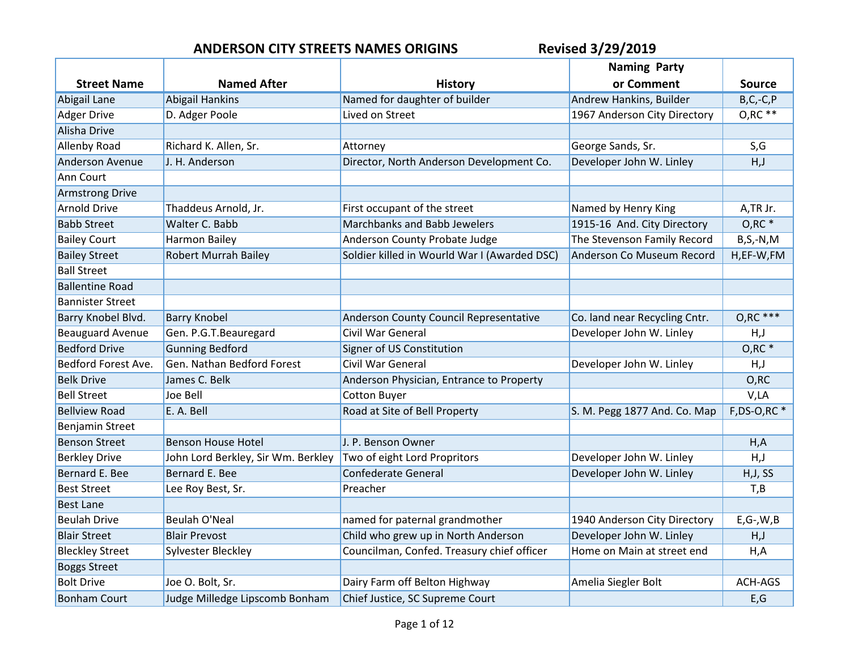|                         |                                    |                                              | <b>Naming Party</b>           |                    |
|-------------------------|------------------------------------|----------------------------------------------|-------------------------------|--------------------|
| <b>Street Name</b>      | <b>Named After</b>                 | <b>History</b>                               | or Comment                    | <b>Source</b>      |
| Abigail Lane            | <b>Abigail Hankins</b>             | Named for daughter of builder                | Andrew Hankins, Builder       | $B, C, -C, P$      |
| <b>Adger Drive</b>      | D. Adger Poole                     | Lived on Street                              | 1967 Anderson City Directory  | $O, RC$ **         |
| Alisha Drive            |                                    |                                              |                               |                    |
| <b>Allenby Road</b>     | Richard K. Allen, Sr.              | Attorney                                     | George Sands, Sr.             | S,G                |
| <b>Anderson Avenue</b>  | J. H. Anderson                     | Director, North Anderson Development Co.     | Developer John W. Linley      | H, J               |
| Ann Court               |                                    |                                              |                               |                    |
| <b>Armstrong Drive</b>  |                                    |                                              |                               |                    |
| <b>Arnold Drive</b>     | Thaddeus Arnold, Jr.               | First occupant of the street                 | Named by Henry King           | A,TR Jr.           |
| <b>Babb Street</b>      | Walter C. Babb                     | Marchbanks and Babb Jewelers                 | 1915-16 And. City Directory   | $O, RC$ *          |
| <b>Bailey Court</b>     | Harmon Bailey                      | Anderson County Probate Judge                | The Stevenson Family Record   | $B, S, -N, M$      |
| <b>Bailey Street</b>    | <b>Robert Murrah Bailey</b>        | Soldier killed in Wourld War I (Awarded DSC) | Anderson Co Museum Record     | H,EF-W,FM          |
| <b>Ball Street</b>      |                                    |                                              |                               |                    |
| <b>Ballentine Road</b>  |                                    |                                              |                               |                    |
| <b>Bannister Street</b> |                                    |                                              |                               |                    |
| Barry Knobel Blvd.      | <b>Barry Knobel</b>                | Anderson County Council Representative       | Co. land near Recycling Cntr. | $O, RC$ ***        |
| <b>Beauguard Avenue</b> | Gen. P.G.T.Beauregard              | <b>Civil War General</b>                     | Developer John W. Linley      | H, J               |
| <b>Bedford Drive</b>    | <b>Gunning Bedford</b>             | Signer of US Constitution                    |                               | $O, RC$ *          |
| Bedford Forest Ave.     | Gen. Nathan Bedford Forest         | Civil War General                            | Developer John W. Linley      | H, J               |
| <b>Belk Drive</b>       | James C. Belk                      | Anderson Physician, Entrance to Property     |                               | O, RC              |
| <b>Bell Street</b>      | Joe Bell                           | <b>Cotton Buyer</b>                          |                               | V,LA               |
| <b>Bellview Road</b>    | E. A. Bell                         | Road at Site of Bell Property                | S. M. Pegg 1877 And. Co. Map  | $F$ , DS-O, RC $*$ |
| Benjamin Street         |                                    |                                              |                               |                    |
| <b>Benson Street</b>    | <b>Benson House Hotel</b>          | J. P. Benson Owner                           |                               | H, A               |
| <b>Berkley Drive</b>    | John Lord Berkley, Sir Wm. Berkley | Two of eight Lord Propritors                 | Developer John W. Linley      | H, J               |
| Bernard E. Bee          | Bernard E. Bee                     | <b>Confederate General</b>                   | Developer John W. Linley      | H, J, SS           |
| <b>Best Street</b>      | Lee Roy Best, Sr.                  | Preacher                                     |                               | T,B                |
| <b>Best Lane</b>        |                                    |                                              |                               |                    |
| <b>Beulah Drive</b>     | Beulah O'Neal                      | named for paternal grandmother               | 1940 Anderson City Directory  | $E$ , G-, W, B     |
| <b>Blair Street</b>     | <b>Blair Prevost</b>               | Child who grew up in North Anderson          | Developer John W. Linley      | H, J               |
| <b>Bleckley Street</b>  | Sylvester Bleckley                 | Councilman, Confed. Treasury chief officer   | Home on Main at street end    | H, A               |
| <b>Boggs Street</b>     |                                    |                                              |                               |                    |
| <b>Bolt Drive</b>       | Joe O. Bolt, Sr.                   | Dairy Farm off Belton Highway                | Amelia Siegler Bolt           | ACH-AGS            |
| <b>Bonham Court</b>     | Judge Milledge Lipscomb Bonham     | Chief Justice, SC Supreme Court              |                               | E, G               |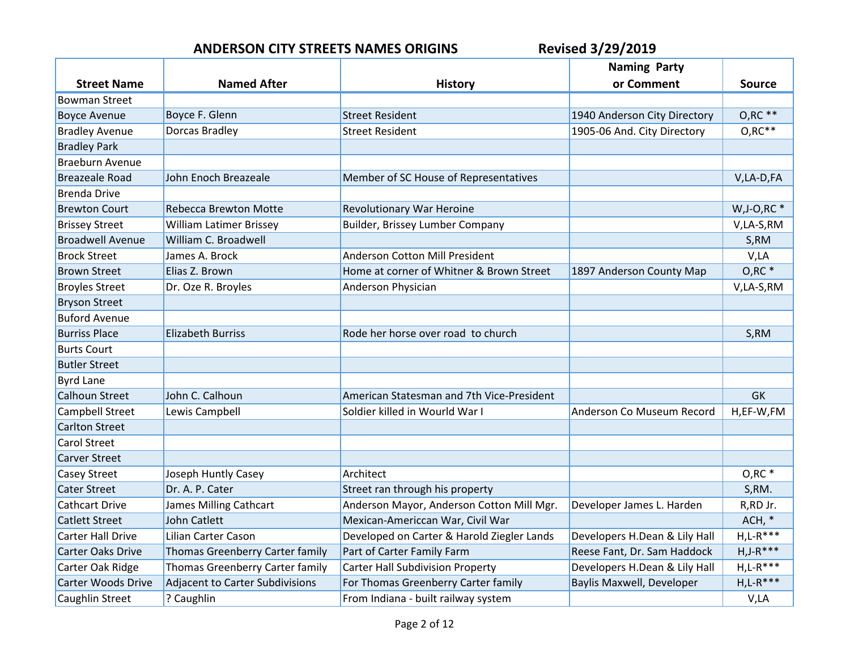|                           |                                 |                                            | <b>Naming Party</b>           |                |
|---------------------------|---------------------------------|--------------------------------------------|-------------------------------|----------------|
| <b>Street Name</b>        | <b>Named After</b>              | <b>History</b>                             | or Comment                    | <b>Source</b>  |
| <b>Bowman Street</b>      |                                 |                                            |                               |                |
| <b>Boyce Avenue</b>       | Boyce F. Glenn                  | <b>Street Resident</b>                     | 1940 Anderson City Directory  | $O, RC$ **     |
| <b>Bradley Avenue</b>     | Dorcas Bradley                  | <b>Street Resident</b>                     | 1905-06 And. City Directory   | $O, RC**$      |
| <b>Bradley Park</b>       |                                 |                                            |                               |                |
| <b>Braeburn Avenue</b>    |                                 |                                            |                               |                |
| <b>Breazeale Road</b>     | John Enoch Breazeale            | Member of SC House of Representatives      |                               | V,LA-D,FA      |
| <b>Brenda Drive</b>       |                                 |                                            |                               |                |
| <b>Brewton Court</b>      | <b>Rebecca Brewton Motte</b>    | Revolutionary War Heroine                  |                               | $W, J-O, RC$ * |
| <b>Brissey Street</b>     | William Latimer Brissey         | Builder, Brissey Lumber Company            |                               | V,LA-S,RM      |
| <b>Broadwell Avenue</b>   | William C. Broadwell            |                                            |                               | S,RM           |
| <b>Brock Street</b>       | James A. Brock                  | <b>Anderson Cotton Mill President</b>      |                               | V,LA           |
| <b>Brown Street</b>       | Elias Z. Brown                  | Home at corner of Whitner & Brown Street   | 1897 Anderson County Map      | $O, RC$ *      |
| <b>Broyles Street</b>     | Dr. Oze R. Broyles              | Anderson Physician                         |                               | V,LA-S,RM      |
| <b>Bryson Street</b>      |                                 |                                            |                               |                |
| <b>Buford Avenue</b>      |                                 |                                            |                               |                |
| <b>Burriss Place</b>      | <b>Elizabeth Burriss</b>        | Rode her horse over road to church         |                               | S,RM           |
| <b>Burts Court</b>        |                                 |                                            |                               |                |
| <b>Butler Street</b>      |                                 |                                            |                               |                |
| <b>Byrd Lane</b>          |                                 |                                            |                               |                |
| <b>Calhoun Street</b>     | John C. Calhoun                 | American Statesman and 7th Vice-President  |                               | <b>GK</b>      |
| Campbell Street           | Lewis Campbell                  | Soldier killed in Wourld War I             | Anderson Co Museum Record     | H,EF-W,FM      |
| <b>Carlton Street</b>     |                                 |                                            |                               |                |
| <b>Carol Street</b>       |                                 |                                            |                               |                |
| <b>Carver Street</b>      |                                 |                                            |                               |                |
| Casey Street              | Joseph Huntly Casey             | Architect                                  |                               | $O, RC$ *      |
| <b>Cater Street</b>       | Dr. A. P. Cater                 | Street ran through his property            |                               | S,RM.          |
| <b>Cathcart Drive</b>     | James Milling Cathcart          | Anderson Mayor, Anderson Cotton Mill Mgr.  | Developer James L. Harden     | R, RD Jr.      |
| <b>Catlett Street</b>     | John Catlett                    | Mexican-Americcan War, Civil War           |                               | $ACH, *$       |
| <b>Carter Hall Drive</b>  | Lilian Carter Cason             | Developed on Carter & Harold Ziegler Lands | Developers H.Dean & Lily Hall | $H,L-R***$     |
| <b>Carter Oaks Drive</b>  | Thomas Greenberry Carter family | Part of Carter Family Farm                 | Reese Fant, Dr. Sam Haddock   | $H, J-R***$    |
| Carter Oak Ridge          | Thomas Greenberry Carter family | <b>Carter Hall Subdivision Property</b>    | Developers H.Dean & Lily Hall | $H, L-R***$    |
| <b>Carter Woods Drive</b> | Adjacent to Carter Subdivisions | For Thomas Greenberry Carter family        | Baylis Maxwell, Developer     | $H,L-R***$     |
| <b>Caughlin Street</b>    | ? Caughlin                      | From Indiana - built railway system        |                               | V,LA           |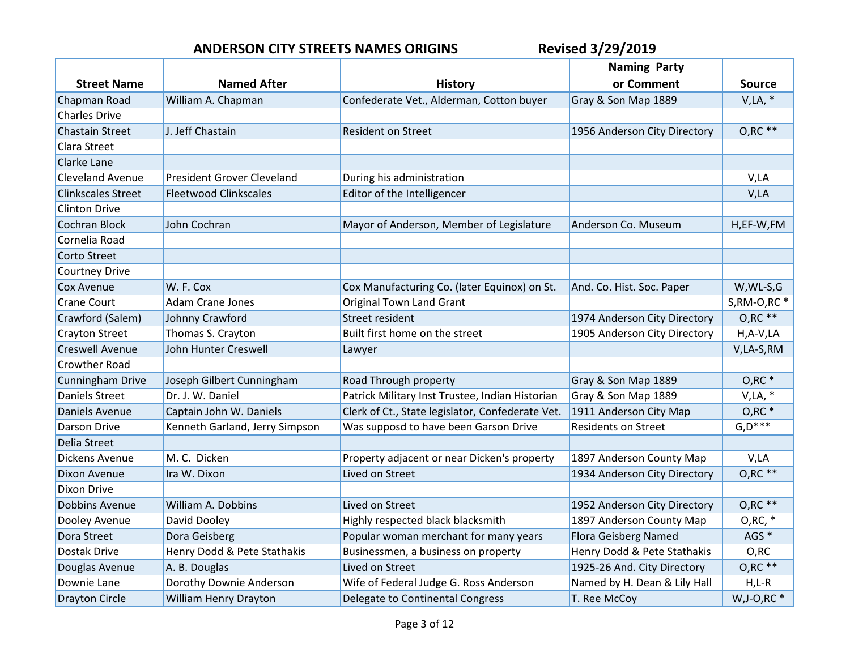|                           |                                   |                                                  | <b>Naming Party</b>          |                  |
|---------------------------|-----------------------------------|--------------------------------------------------|------------------------------|------------------|
| <b>Street Name</b>        | <b>Named After</b>                | <b>History</b>                                   | or Comment                   | <b>Source</b>    |
| Chapman Road              | William A. Chapman                | Confederate Vet., Alderman, Cotton buyer         | Gray & Son Map 1889          | $V, LA, *$       |
| <b>Charles Drive</b>      |                                   |                                                  |                              |                  |
| <b>Chastain Street</b>    | J. Jeff Chastain                  | <b>Resident on Street</b>                        | 1956 Anderson City Directory | $O, RC$ **       |
| Clara Street              |                                   |                                                  |                              |                  |
| Clarke Lane               |                                   |                                                  |                              |                  |
| <b>Cleveland Avenue</b>   | <b>President Grover Cleveland</b> | During his administration                        |                              | V,LA             |
| <b>Clinkscales Street</b> | <b>Fleetwood Clinkscales</b>      | Editor of the Intelligencer                      |                              | V,LA             |
| Clinton Drive             |                                   |                                                  |                              |                  |
| <b>Cochran Block</b>      | John Cochran                      | Mayor of Anderson, Member of Legislature         | Anderson Co. Museum          | H,EF-W,FM        |
| Cornelia Road             |                                   |                                                  |                              |                  |
| Corto Street              |                                   |                                                  |                              |                  |
| <b>Courtney Drive</b>     |                                   |                                                  |                              |                  |
| <b>Cox Avenue</b>         | W. F. Cox                         | Cox Manufacturing Co. (later Equinox) on St.     | And. Co. Hist. Soc. Paper    | W, WL-S, G       |
| <b>Crane Court</b>        | <b>Adam Crane Jones</b>           | <b>Original Town Land Grant</b>                  |                              | $S, RM-O, RC$    |
| Crawford (Salem)          | Johnny Crawford                   | Street resident                                  | 1974 Anderson City Directory | $O, RC$ **       |
| <b>Crayton Street</b>     | Thomas S. Crayton                 | Built first home on the street                   | 1905 Anderson City Directory | $H, A-V, LA$     |
| <b>Creswell Avenue</b>    | John Hunter Creswell              | Lawyer                                           |                              | V,LA-S,RM        |
| <b>Crowther Road</b>      |                                   |                                                  |                              |                  |
| <b>Cunningham Drive</b>   | Joseph Gilbert Cunningham         | Road Through property                            | Gray & Son Map 1889          | $O, RC$ $*$      |
| <b>Daniels Street</b>     | Dr. J. W. Daniel                  | Patrick Military Inst Trustee, Indian Historian  | Gray & Son Map 1889          | $V, LA, *$       |
| Daniels Avenue            | Captain John W. Daniels           | Clerk of Ct., State legislator, Confederate Vet. | 1911 Anderson City Map       | $O, RC$ *        |
| Darson Drive              | Kenneth Garland, Jerry Simpson    | Was supposd to have been Garson Drive            | <b>Residents on Street</b>   | $G, D***$        |
| Delia Street              |                                   |                                                  |                              |                  |
| Dickens Avenue            | M. C. Dicken                      | Property adjacent or near Dicken's property      | 1897 Anderson County Map     | V,LA             |
| Dixon Avenue              | Ira W. Dixon                      | Lived on Street                                  | 1934 Anderson City Directory | $O, RC$ **       |
| <b>Dixon Drive</b>        |                                   |                                                  |                              |                  |
| <b>Dobbins Avenue</b>     | William A. Dobbins                | Lived on Street                                  | 1952 Anderson City Directory | $O, RC$ **       |
| Dooley Avenue             | David Dooley                      | Highly respected black blacksmith                | 1897 Anderson County Map     | $O, RC, *$       |
| Dora Street               | Dora Geisberg                     | Popular woman merchant for many years            | Flora Geisberg Named         | AGS <sup>*</sup> |
| Dostak Drive              | Henry Dodd & Pete Stathakis       | Businessmen, a business on property              | Henry Dodd & Pete Stathakis  | O, RC            |
| Douglas Avenue            | A. B. Douglas                     | Lived on Street                                  | 1925-26 And. City Directory  | $O, RC$ **       |
| Downie Lane               | Dorothy Downie Anderson           | Wife of Federal Judge G. Ross Anderson           | Named by H. Dean & Lily Hall | $H,L-R$          |
| <b>Drayton Circle</b>     | William Henry Drayton             | Delegate to Continental Congress                 | T. Ree McCoy                 | $W, J-O, RC$ *   |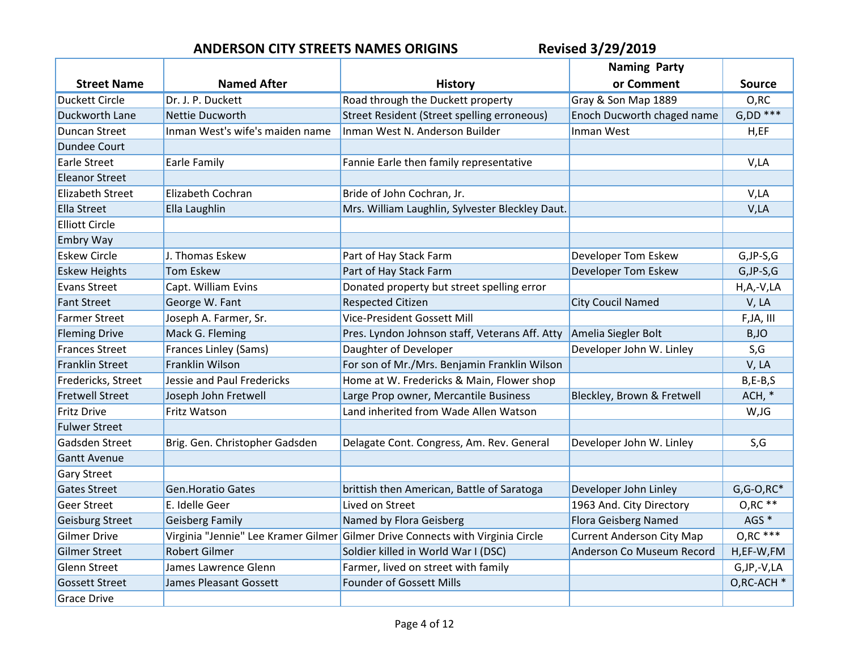|                         |                                 |                                                                                | <b>Naming Party</b>              |                          |
|-------------------------|---------------------------------|--------------------------------------------------------------------------------|----------------------------------|--------------------------|
| <b>Street Name</b>      | <b>Named After</b>              | <b>History</b>                                                                 | or Comment                       | <b>Source</b>            |
| <b>Duckett Circle</b>   | Dr. J. P. Duckett               | Road through the Duckett property                                              | Gray & Son Map 1889              | O,RC                     |
| Duckworth Lane          | <b>Nettie Ducworth</b>          | Street Resident (Street spelling erroneous)                                    | Enoch Ducworth chaged name       | $G.DD$ ***               |
| <b>Duncan Street</b>    | Inman West's wife's maiden name | Inman West N. Anderson Builder                                                 | Inman West                       | H, EF                    |
| Dundee Court            |                                 |                                                                                |                                  |                          |
| <b>Earle Street</b>     | Earle Family                    | Fannie Earle then family representative                                        |                                  | V,LA                     |
| <b>Eleanor Street</b>   |                                 |                                                                                |                                  |                          |
| <b>Elizabeth Street</b> | Elizabeth Cochran               | Bride of John Cochran, Jr.                                                     |                                  | V,LA                     |
| <b>Ella Street</b>      | Ella Laughlin                   | Mrs. William Laughlin, Sylvester Bleckley Daut.                                |                                  | V,LA                     |
| <b>Elliott Circle</b>   |                                 |                                                                                |                                  |                          |
| <b>Embry Way</b>        |                                 |                                                                                |                                  |                          |
| <b>Eskew Circle</b>     | J. Thomas Eskew                 | Part of Hay Stack Farm                                                         | <b>Developer Tom Eskew</b>       | $G,$ JP-S, $G$           |
| <b>Eskew Heights</b>    | <b>Tom Eskew</b>                | Part of Hay Stack Farm                                                         | Developer Tom Eskew              | $G,$ JP-S, $G$           |
| <b>Evans Street</b>     | Capt. William Evins             | Donated property but street spelling error                                     |                                  | $H, A, -V, LA$           |
| <b>Fant Street</b>      | George W. Fant                  | <b>Respected Citizen</b>                                                       | <b>City Coucil Named</b>         | V, LA                    |
| <b>Farmer Street</b>    | Joseph A. Farmer, Sr.           | Vice-President Gossett Mill                                                    |                                  | F, JA, III               |
| <b>Fleming Drive</b>    | Mack G. Fleming                 | Pres. Lyndon Johnson staff, Veterans Aff. Atty                                 | Amelia Siegler Bolt              | B,JO                     |
| <b>Frances Street</b>   | <b>Frances Linley (Sams)</b>    | Daughter of Developer                                                          | Developer John W. Linley         | S, G                     |
| <b>Franklin Street</b>  | Franklin Wilson                 | For son of Mr./Mrs. Benjamin Franklin Wilson                                   |                                  | V, LA                    |
| Fredericks, Street      | Jessie and Paul Fredericks      | Home at W. Fredericks & Main, Flower shop                                      |                                  | $B, E-B, S$              |
| <b>Fretwell Street</b>  | Joseph John Fretwell            | Large Prop owner, Mercantile Business                                          | Bleckley, Brown & Fretwell       | $ACH, *$                 |
| <b>Fritz Drive</b>      | Fritz Watson                    | Land inherited from Wade Allen Watson                                          |                                  | W,JG                     |
| <b>Fulwer Street</b>    |                                 |                                                                                |                                  |                          |
| Gadsden Street          | Brig. Gen. Christopher Gadsden  | Delagate Cont. Congress, Am. Rev. General                                      | Developer John W. Linley         | S,G                      |
| <b>Gantt Avenue</b>     |                                 |                                                                                |                                  |                          |
| <b>Gary Street</b>      |                                 |                                                                                |                                  |                          |
| <b>Gates Street</b>     | <b>Gen.Horatio Gates</b>        | brittish then American, Battle of Saratoga                                     | Developer John Linley            | $G$ , $G$ - $O$ , $RC^*$ |
| <b>Geer Street</b>      | E. Idelle Geer                  | Lived on Street                                                                | 1963 And. City Directory         | $O, RC$ **               |
| <b>Geisburg Street</b>  | <b>Geisberg Family</b>          | Named by Flora Geisberg                                                        | <b>Flora Geisberg Named</b>      | AGS <sup>*</sup>         |
| <b>Gilmer Drive</b>     |                                 | Virginia "Jennie" Lee Kramer Gilmer Gilmer Drive Connects with Virginia Circle | <b>Current Anderson City Map</b> | $O, RC$ ***              |
| <b>Gilmer Street</b>    | <b>Robert Gilmer</b>            | Soldier killed in World War I (DSC)                                            | Anderson Co Museum Record        | H,EF-W,FM                |
| <b>Glenn Street</b>     | James Lawrence Glenn            | Farmer, lived on street with family                                            |                                  | G, JP, - V, LA           |
| <b>Gossett Street</b>   | James Pleasant Gossett          | Founder of Gossett Mills                                                       |                                  | O,RC-ACH *               |
| <b>Grace Drive</b>      |                                 |                                                                                |                                  |                          |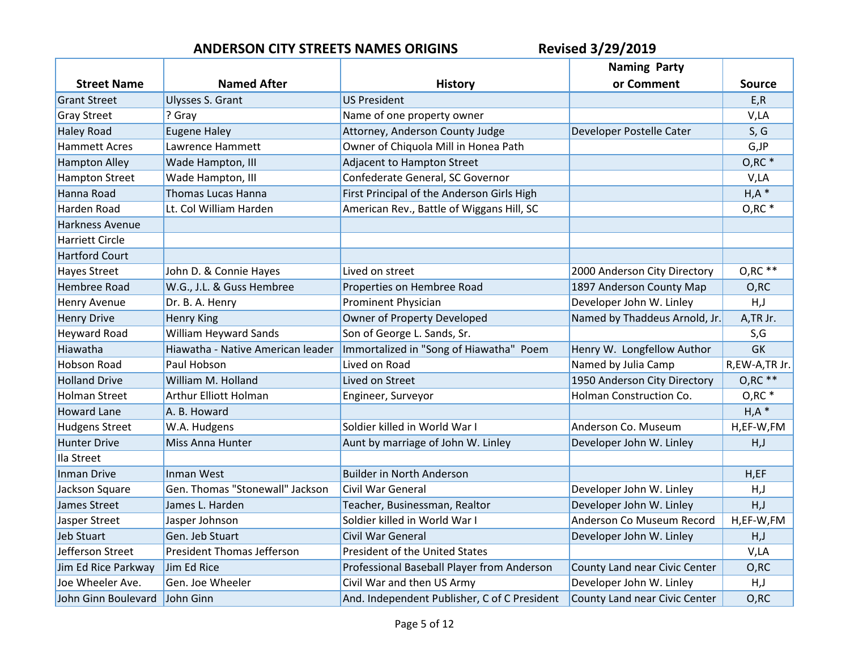|                        |                                   |                                              | <b>Naming Party</b>           |                     |
|------------------------|-----------------------------------|----------------------------------------------|-------------------------------|---------------------|
| <b>Street Name</b>     | <b>Named After</b>                | <b>History</b>                               | or Comment                    | <b>Source</b>       |
| <b>Grant Street</b>    | Ulysses S. Grant                  | <b>US President</b>                          |                               | E, R                |
| <b>Gray Street</b>     | ? Gray                            | Name of one property owner                   |                               | V,LA                |
| <b>Haley Road</b>      | <b>Eugene Haley</b>               | Attorney, Anderson County Judge              | Developer Postelle Cater      | S, G                |
| <b>Hammett Acres</b>   | Lawrence Hammett                  | Owner of Chiquola Mill in Honea Path         |                               | $G,$ J $P$          |
| <b>Hampton Alley</b>   | Wade Hampton, III                 | Adjacent to Hampton Street                   |                               | $O, RC$ *           |
| <b>Hampton Street</b>  | Wade Hampton, III                 | Confederate General, SC Governor             |                               | V,LA                |
| Hanna Road             | <b>Thomas Lucas Hanna</b>         | First Principal of the Anderson Girls High   |                               | H, A                |
| Harden Road            | Lt. Col William Harden            | American Rev., Battle of Wiggans Hill, SC    |                               | O, RC               |
| Harkness Avenue        |                                   |                                              |                               |                     |
| <b>Harriett Circle</b> |                                   |                                              |                               |                     |
| <b>Hartford Court</b>  |                                   |                                              |                               |                     |
| <b>Hayes Street</b>    | John D. & Connie Hayes            | Lived on street                              | 2000 Anderson City Directory  | $O, RC$ **          |
| <b>Hembree Road</b>    | W.G., J.L. & Guss Hembree         | Properties on Hembree Road                   | 1897 Anderson County Map      | O, RC               |
| <b>Henry Avenue</b>    | Dr. B. A. Henry                   | <b>Prominent Physician</b>                   | Developer John W. Linley      | H, J                |
| <b>Henry Drive</b>     | <b>Henry King</b>                 | Owner of Property Developed                  | Named by Thaddeus Arnold, Jr. | A,TR Jr.            |
| <b>Heyward Road</b>    | William Heyward Sands             | Son of George L. Sands, Sr.                  |                               | S,G                 |
| Hiawatha               | Hiawatha - Native American leader | Immortalized in "Song of Hiawatha" Poem      | Henry W. Longfellow Author    | <b>GK</b>           |
| <b>Hobson Road</b>     | Paul Hobson                       | Lived on Road                                | Named by Julia Camp           | R,EW-A,TR Jr.       |
| <b>Holland Drive</b>   | William M. Holland                | Lived on Street                              | 1950 Anderson City Directory  | $O, RC$ **          |
| <b>Holman Street</b>   | Arthur Elliott Holman             | Engineer, Surveyor                           | Holman Construction Co.       | $O, RC$ *           |
| <b>Howard Lane</b>     | A. B. Howard                      |                                              |                               | $H, A$ <sup>*</sup> |
| <b>Hudgens Street</b>  | W.A. Hudgens                      | Soldier killed in World War I                | Anderson Co. Museum           | H,EF-W,FM           |
| <b>Hunter Drive</b>    | Miss Anna Hunter                  | Aunt by marriage of John W. Linley           | Developer John W. Linley      | H, J                |
| Ila Street             |                                   |                                              |                               |                     |
| Inman Drive            | Inman West                        | <b>Builder in North Anderson</b>             |                               | H, EF               |
| Jackson Square         | Gen. Thomas "Stonewall" Jackson   | <b>Civil War General</b>                     | Developer John W. Linley      | H, J                |
| James Street           | James L. Harden                   | Teacher, Businessman, Realtor                | Developer John W. Linley      | H, J                |
| Jasper Street          | Jasper Johnson                    | Soldier killed in World War I                | Anderson Co Museum Record     | H,EF-W,FM           |
| <b>Jeb Stuart</b>      | Gen. Jeb Stuart                   | Civil War General                            | Developer John W. Linley      | H, J                |
| Jefferson Street       | <b>President Thomas Jefferson</b> | President of the United States               |                               | V,LA                |
| Jim Ed Rice Parkway    | Jim Ed Rice                       | Professional Baseball Player from Anderson   | County Land near Civic Center | O, RC               |
| Joe Wheeler Ave.       | Gen. Joe Wheeler                  | Civil War and then US Army                   | Developer John W. Linley      | H, J                |
| John Ginn Boulevard    | John Ginn                         | And. Independent Publisher, C of C President | County Land near Civic Center | O, RC               |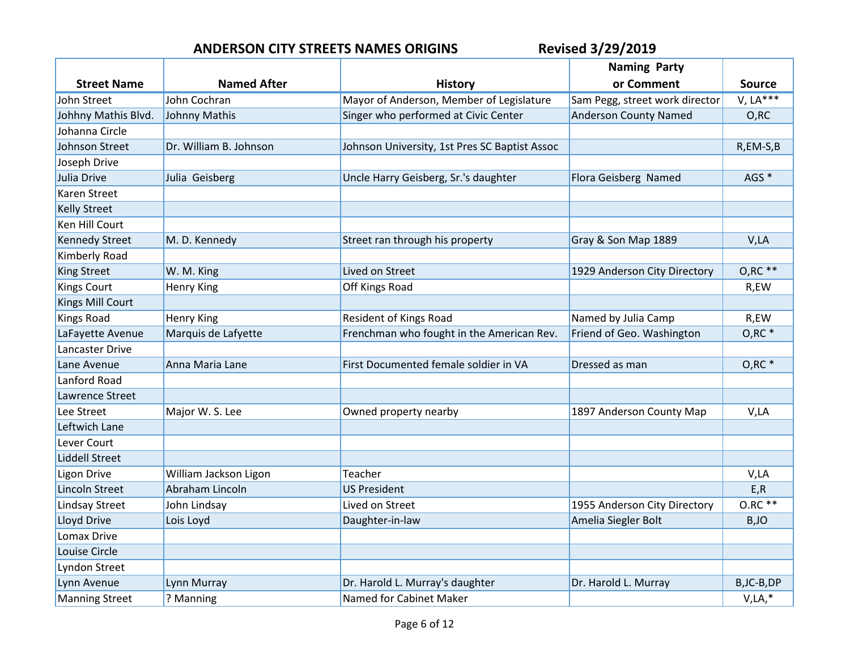|                       |                        |                                               | <b>Naming Party</b>            |                  |
|-----------------------|------------------------|-----------------------------------------------|--------------------------------|------------------|
| <b>Street Name</b>    | <b>Named After</b>     | History                                       | or Comment                     | <b>Source</b>    |
| John Street           | John Cochran           | Mayor of Anderson, Member of Legislature      | Sam Pegg, street work director | $V, LA***$       |
| Johhny Mathis Blvd.   | Johnny Mathis          | Singer who performed at Civic Center          | <b>Anderson County Named</b>   | O, RC            |
| Johanna Circle        |                        |                                               |                                |                  |
| Johnson Street        | Dr. William B. Johnson | Johnson University, 1st Pres SC Baptist Assoc |                                | R,EM-S,B         |
| Joseph Drive          |                        |                                               |                                |                  |
| Julia Drive           | Julia Geisberg         | Uncle Harry Geisberg, Sr.'s daughter          | Flora Geisberg Named           | AGS <sup>*</sup> |
| Karen Street          |                        |                                               |                                |                  |
| <b>Kelly Street</b>   |                        |                                               |                                |                  |
| Ken Hill Court        |                        |                                               |                                |                  |
| <b>Kennedy Street</b> | M. D. Kennedy          | Street ran through his property               | Gray & Son Map 1889            | V,LA             |
| Kimberly Road         |                        |                                               |                                |                  |
| <b>King Street</b>    | W. M. King             | Lived on Street                               | 1929 Anderson City Directory   | $O, RC**$        |
| <b>Kings Court</b>    | <b>Henry King</b>      | Off Kings Road                                |                                | R,EW             |
| Kings Mill Court      |                        |                                               |                                |                  |
| <b>Kings Road</b>     | <b>Henry King</b>      | <b>Resident of Kings Road</b>                 | Named by Julia Camp            | R,EW             |
| LaFayette Avenue      | Marquis de Lafyette    | Frenchman who fought in the American Rev.     | Friend of Geo. Washington      | $O, RC$ *        |
| Lancaster Drive       |                        |                                               |                                |                  |
| Lane Avenue           | Anna Maria Lane        | First Documented female soldier in VA         | Dressed as man                 | $O, RC$ *        |
| Lanford Road          |                        |                                               |                                |                  |
| Lawrence Street       |                        |                                               |                                |                  |
| Lee Street            | Major W. S. Lee        | Owned property nearby                         | 1897 Anderson County Map       | V,LA             |
| Leftwich Lane         |                        |                                               |                                |                  |
| Lever Court           |                        |                                               |                                |                  |
| <b>Liddell Street</b> |                        |                                               |                                |                  |
| <b>Ligon Drive</b>    | William Jackson Ligon  | Teacher                                       |                                | V,LA             |
| <b>Lincoln Street</b> | Abraham Lincoln        | <b>US President</b>                           |                                | E, R             |
| <b>Lindsay Street</b> | John Lindsay           | Lived on Street                               | 1955 Anderson City Directory   | $0.RC**$         |
| Lloyd Drive           | Lois Loyd              | Daughter-in-law                               | Amelia Siegler Bolt            | B,JO             |
| <b>Lomax Drive</b>    |                        |                                               |                                |                  |
| Louise Circle         |                        |                                               |                                |                  |
| Lyndon Street         |                        |                                               |                                |                  |
| Lynn Avenue           | Lynn Murray            | Dr. Harold L. Murray's daughter               | Dr. Harold L. Murray           | B, JC-B, DP      |
| <b>Manning Street</b> | ? Manning              | Named for Cabinet Maker                       |                                | $V, LA, *$       |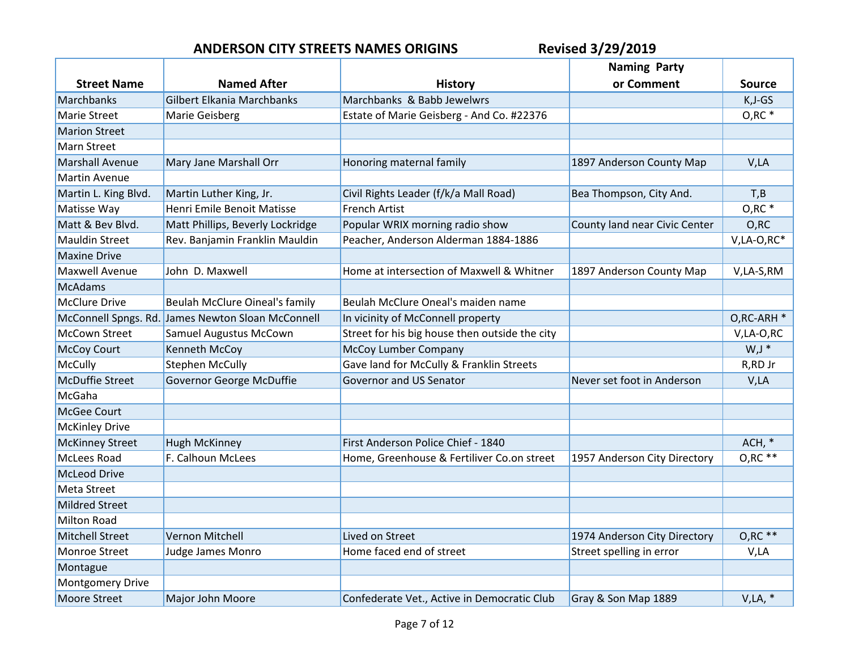|                         |                                                   |                                                | <b>Naming Party</b>           |                |
|-------------------------|---------------------------------------------------|------------------------------------------------|-------------------------------|----------------|
| <b>Street Name</b>      | <b>Named After</b>                                | History                                        | or Comment                    | <b>Source</b>  |
| Marchbanks              | <b>Gilbert Elkania Marchbanks</b>                 | Marchbanks & Babb Jewelwrs                     |                               | $K, J-GS$      |
| <b>Marie Street</b>     | Marie Geisberg                                    | Estate of Marie Geisberg - And Co. #22376      |                               | $O, RC$ *      |
| <b>Marion Street</b>    |                                                   |                                                |                               |                |
| <b>Marn Street</b>      |                                                   |                                                |                               |                |
| <b>Marshall Avenue</b>  | Mary Jane Marshall Orr                            | Honoring maternal family                       | 1897 Anderson County Map      | V,LA           |
| <b>Martin Avenue</b>    |                                                   |                                                |                               |                |
| Martin L. King Blvd.    | Martin Luther King, Jr.                           | Civil Rights Leader (f/k/a Mall Road)          | Bea Thompson, City And.       | T,B            |
| Matisse Way             | Henri Emile Benoit Matisse                        | <b>French Artist</b>                           |                               | O, RC          |
| Matt & Bev Blvd.        | Matt Phillips, Beverly Lockridge                  | Popular WRIX morning radio show                | County land near Civic Center | O, RC          |
| <b>Mauldin Street</b>   | Rev. Banjamin Franklin Mauldin                    | Peacher, Anderson Alderman 1884-1886           |                               | $V, LA-O, RC*$ |
| <b>Maxine Drive</b>     |                                                   |                                                |                               |                |
| <b>Maxwell Avenue</b>   | John D. Maxwell                                   | Home at intersection of Maxwell & Whitner      | 1897 Anderson County Map      | V,LA-S,RM      |
| McAdams                 |                                                   |                                                |                               |                |
| <b>McClure Drive</b>    | <b>Beulah McClure Oineal's family</b>             | Beulah McClure Oneal's maiden name             |                               |                |
|                         | McConnell Spngs. Rd. James Newton Sloan McConnell | In vicinity of McConnell property              |                               | O,RC-ARH *     |
| <b>McCown Street</b>    | <b>Samuel Augustus McCown</b>                     | Street for his big house then outside the city |                               | V,LA-O,RC      |
| <b>McCoy Court</b>      | Kenneth McCoy                                     | McCoy Lumber Company                           |                               | $W, J^*$       |
| McCully                 | <b>Stephen McCully</b>                            | Gave land for McCully & Franklin Streets       |                               | R,RD Jr        |
| <b>McDuffie Street</b>  | Governor George McDuffie                          | Governor and US Senator                        | Never set foot in Anderson    | V,LA           |
| McGaha                  |                                                   |                                                |                               |                |
| McGee Court             |                                                   |                                                |                               |                |
| <b>McKinley Drive</b>   |                                                   |                                                |                               |                |
| <b>McKinney Street</b>  | <b>Hugh McKinney</b>                              | First Anderson Police Chief - 1840             |                               | ACH, *         |
| <b>McLees Road</b>      | F. Calhoun McLees                                 | Home, Greenhouse & Fertiliver Co.on street     | 1957 Anderson City Directory  | $O, RC$ **     |
| <b>McLeod Drive</b>     |                                                   |                                                |                               |                |
| <b>Meta Street</b>      |                                                   |                                                |                               |                |
| <b>Mildred Street</b>   |                                                   |                                                |                               |                |
| <b>Milton Road</b>      |                                                   |                                                |                               |                |
| <b>Mitchell Street</b>  | Vernon Mitchell                                   | Lived on Street                                | 1974 Anderson City Directory  | $O, RC$ **     |
| Monroe Street           | Judge James Monro                                 | Home faced end of street                       | Street spelling in error      | V,LA           |
| Montague                |                                                   |                                                |                               |                |
| <b>Montgomery Drive</b> |                                                   |                                                |                               |                |
| <b>Moore Street</b>     | <b>Major John Moore</b>                           | Confederate Vet., Active in Democratic Club    | Gray & Son Map 1889           | $V, LA, *$     |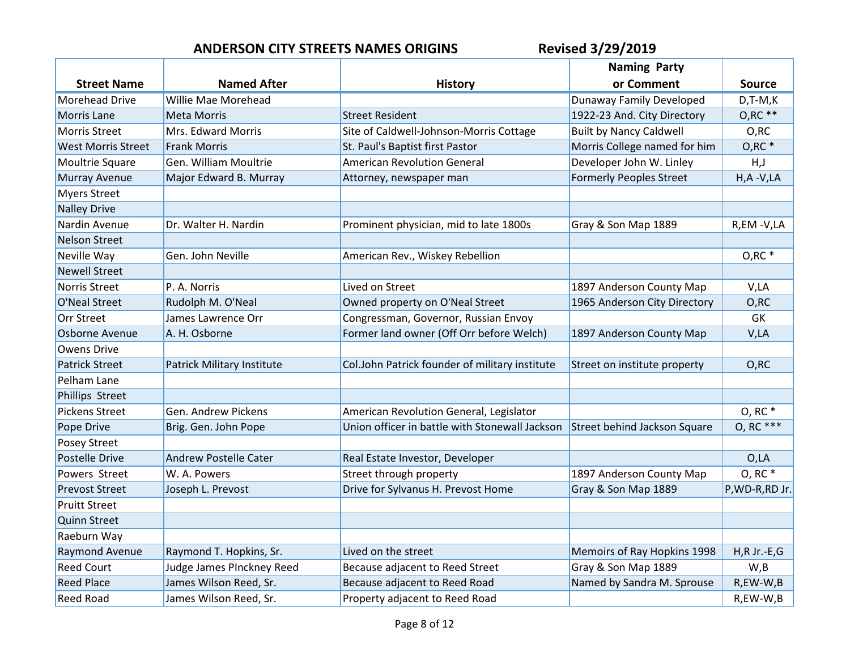|                           |                            |                                                | <b>Naming Party</b>            |                 |
|---------------------------|----------------------------|------------------------------------------------|--------------------------------|-----------------|
| <b>Street Name</b>        | <b>Named After</b>         | <b>History</b>                                 | or Comment                     | <b>Source</b>   |
| <b>Morehead Drive</b>     | Willie Mae Morehead        |                                                | Dunaway Family Developed       | $D, T-M, K$     |
| <b>Morris Lane</b>        | <b>Meta Morris</b>         | <b>Street Resident</b>                         | 1922-23 And. City Directory    | $O, RC$ **      |
| <b>Morris Street</b>      | Mrs. Edward Morris         | Site of Caldwell-Johnson-Morris Cottage        | <b>Built by Nancy Caldwell</b> | O,RC            |
| <b>West Morris Street</b> | <b>Frank Morris</b>        | St. Paul's Baptist first Pastor                | Morris College named for him   | $O, RC$ *       |
| Moultrie Square           | Gen. William Moultrie      | <b>American Revolution General</b>             | Developer John W. Linley       | H, J            |
| <b>Murray Avenue</b>      | Major Edward B. Murray     | Attorney, newspaper man                        | <b>Formerly Peoples Street</b> | $H, A - V, LA$  |
| <b>Myers Street</b>       |                            |                                                |                                |                 |
| <b>Nalley Drive</b>       |                            |                                                |                                |                 |
| Nardin Avenue             | Dr. Walter H. Nardin       | Prominent physician, mid to late 1800s         | Gray & Son Map 1889            | R,EM-V,LA       |
| <b>Nelson Street</b>      |                            |                                                |                                |                 |
| Neville Way               | Gen. John Neville          | American Rev., Wiskey Rebellion                |                                | $O, RC$ *       |
| <b>Newell Street</b>      |                            |                                                |                                |                 |
| Norris Street             | P. A. Norris               | Lived on Street                                | 1897 Anderson County Map       | V,LA            |
| O'Neal Street             | Rudolph M. O'Neal          | Owned property on O'Neal Street                | 1965 Anderson City Directory   | O, RC           |
| Orr Street                | James Lawrence Orr         | Congressman, Governor, Russian Envoy           |                                | GK              |
| Osborne Avenue            | A. H. Osborne              | Former land owner (Off Orr before Welch)       | 1897 Anderson County Map       | V,LA            |
| <b>Owens Drive</b>        |                            |                                                |                                |                 |
| <b>Patrick Street</b>     | Patrick Military Institute | Col.John Patrick founder of military institute | Street on institute property   | O, RC           |
| Pelham Lane               |                            |                                                |                                |                 |
| <b>Phillips Street</b>    |                            |                                                |                                |                 |
| <b>Pickens Street</b>     | Gen. Andrew Pickens        | American Revolution General, Legislator        |                                | O, RC           |
| Pope Drive                | Brig. Gen. John Pope       | Union officer in battle with Stonewall Jackson | Street behind Jackson Square   | 0, RC ***       |
| Posey Street              |                            |                                                |                                |                 |
| <b>Postelle Drive</b>     | Andrew Postelle Cater      | Real Estate Investor, Developer                |                                | O, LA           |
| Powers Street             | W. A. Powers               | Street through property                        | 1897 Anderson County Map       | O, RC           |
| <b>Prevost Street</b>     | Joseph L. Prevost          | Drive for Sylvanus H. Prevost Home             | Gray & Son Map 1889            | P, WD-R, RD Jr. |
| <b>Pruitt Street</b>      |                            |                                                |                                |                 |
| <b>Quinn Street</b>       |                            |                                                |                                |                 |
| Raeburn Way               |                            |                                                |                                |                 |
| Raymond Avenue            | Raymond T. Hopkins, Sr.    | Lived on the street                            | Memoirs of Ray Hopkins 1998    | $H, R$ Jr.-E,G  |
| <b>Reed Court</b>         | Judge James PInckney Reed  | Because adjacent to Reed Street                | Gray & Son Map 1889            | W, B            |
| <b>Reed Place</b>         | James Wilson Reed, Sr.     | Because adjacent to Reed Road                  | Named by Sandra M. Sprouse     | R,EW-W,B        |
| <b>Reed Road</b>          | James Wilson Reed, Sr.     | Property adjacent to Reed Road                 |                                | R,EW-W,B        |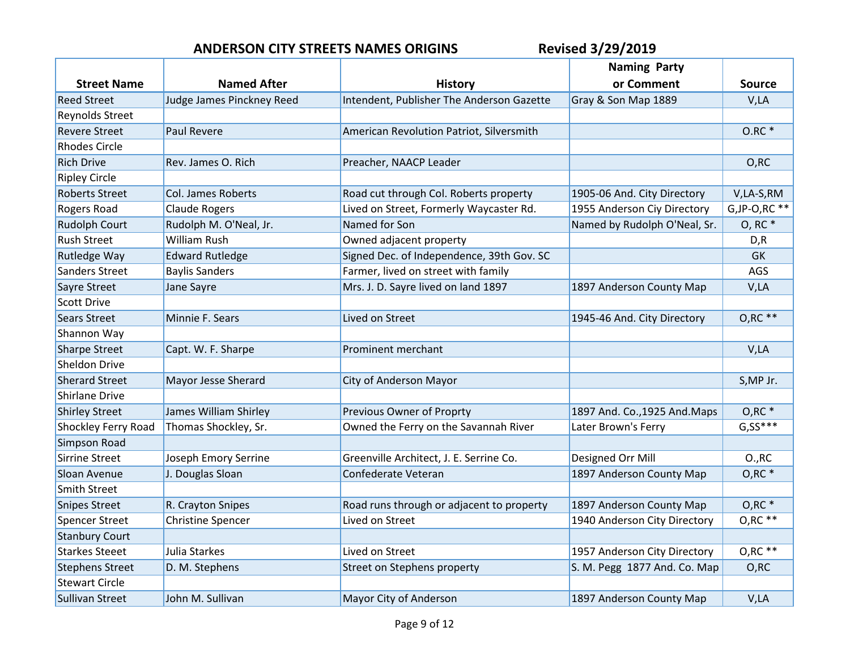|                            |                           |                                           | <b>Naming Party</b>           |                          |
|----------------------------|---------------------------|-------------------------------------------|-------------------------------|--------------------------|
| <b>Street Name</b>         | <b>Named After</b>        | <b>History</b>                            | or Comment                    | <b>Source</b>            |
| <b>Reed Street</b>         | Judge James Pinckney Reed | Intendent, Publisher The Anderson Gazette | Gray & Son Map 1889           | V,LA                     |
| <b>Reynolds Street</b>     |                           |                                           |                               |                          |
| <b>Revere Street</b>       | Paul Revere               | American Revolution Patriot, Silversmith  |                               | $0.RC*$                  |
| <b>Rhodes Circle</b>       |                           |                                           |                               |                          |
| <b>Rich Drive</b>          | Rev. James O. Rich        | Preacher, NAACP Leader                    |                               | O, RC                    |
| <b>Ripley Circle</b>       |                           |                                           |                               |                          |
| <b>Roberts Street</b>      | Col. James Roberts        | Road cut through Col. Roberts property    | 1905-06 And. City Directory   | V,LA-S,RM                |
| Rogers Road                | <b>Claude Rogers</b>      | Lived on Street, Formerly Waycaster Rd.   | 1955 Anderson Ciy Directory   | $G$ , JP-O, RC $**$      |
| <b>Rudolph Court</b>       | Rudolph M. O'Neal, Jr.    | Named for Son                             | Named by Rudolph O'Neal, Sr.  | O, RC                    |
| <b>Rush Street</b>         | William Rush              | Owned adjacent property                   |                               | D, R                     |
| <b>Rutledge Way</b>        | <b>Edward Rutledge</b>    | Signed Dec. of Independence, 39th Gov. SC |                               | <b>GK</b>                |
| Sanders Street             | <b>Baylis Sanders</b>     | Farmer, lived on street with family       |                               | AGS                      |
| Sayre Street               | Jane Sayre                | Mrs. J. D. Sayre lived on land 1897       | 1897 Anderson County Map      | V,LA                     |
| <b>Scott Drive</b>         |                           |                                           |                               |                          |
| <b>Sears Street</b>        | Minnie F. Sears           | Lived on Street                           | 1945-46 And. City Directory   | $O, RC$ **               |
| Shannon Way                |                           |                                           |                               |                          |
| <b>Sharpe Street</b>       | Capt. W. F. Sharpe        | Prominent merchant                        |                               | V,LA                     |
| Sheldon Drive              |                           |                                           |                               |                          |
| <b>Sherard Street</b>      | Mayor Jesse Sherard       | City of Anderson Mayor                    |                               | S, MP Jr.                |
| <b>Shirlane Drive</b>      |                           |                                           |                               |                          |
| <b>Shirley Street</b>      | James William Shirley     | Previous Owner of Proprty                 | 1897 And. Co., 1925 And. Maps | $O, RC$ *                |
| <b>Shockley Ferry Road</b> | Thomas Shockley, Sr.      | Owned the Ferry on the Savannah River     | Later Brown's Ferry           | $G, S\overline{S^{***}}$ |
| Simpson Road               |                           |                                           |                               |                          |
| <b>Sirrine Street</b>      | Joseph Emory Serrine      | Greenville Architect, J. E. Serrine Co.   | Designed Orr Mill             | O., RC                   |
| Sloan Avenue               | J. Douglas Sloan          | Confederate Veteran                       | 1897 Anderson County Map      | $O, RC$ <sup>*</sup>     |
| <b>Smith Street</b>        |                           |                                           |                               |                          |
| <b>Snipes Street</b>       | R. Crayton Snipes         | Road runs through or adjacent to property | 1897 Anderson County Map      | $O, RC$ $*$              |
| <b>Spencer Street</b>      | <b>Christine Spencer</b>  | Lived on Street                           | 1940 Anderson City Directory  | $O, RC$ **               |
| <b>Stanbury Court</b>      |                           |                                           |                               |                          |
| <b>Starkes Steeet</b>      | Julia Starkes             | Lived on Street                           | 1957 Anderson City Directory  | $O, RC$ **               |
| <b>Stephens Street</b>     | D. M. Stephens            | Street on Stephens property               | S. M. Pegg 1877 And. Co. Map  | O, RC                    |
| <b>Stewart Circle</b>      |                           |                                           |                               |                          |
| <b>Sullivan Street</b>     | John M. Sullivan          | Mayor City of Anderson                    | 1897 Anderson County Map      | V,LA                     |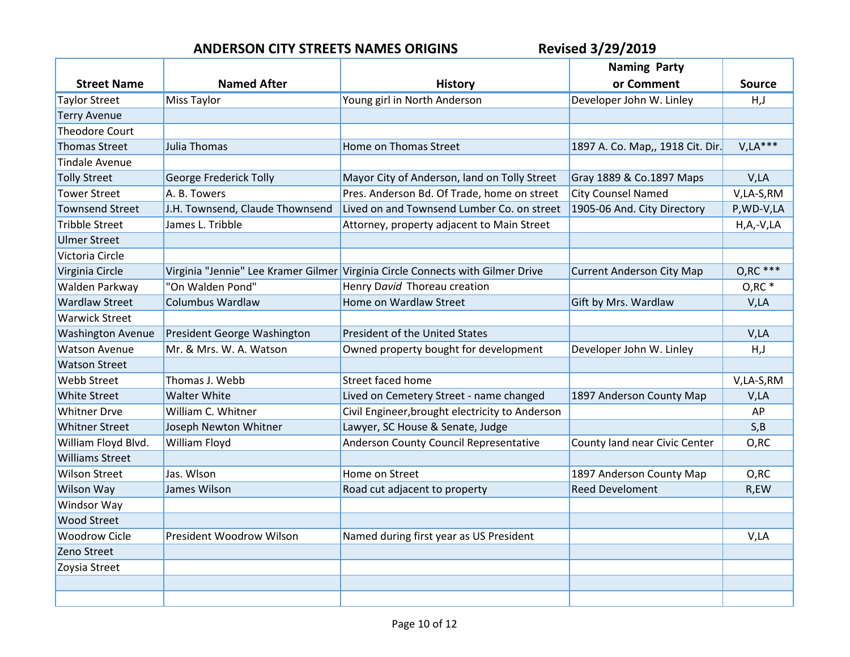|                          |                                 |                                                                                | <b>Naming Party</b>              |                |
|--------------------------|---------------------------------|--------------------------------------------------------------------------------|----------------------------------|----------------|
| <b>Street Name</b>       | <b>Named After</b>              | <b>History</b>                                                                 | or Comment                       | <b>Source</b>  |
| <b>Taylor Street</b>     | Miss Taylor                     | Young girl in North Anderson                                                   | Developer John W. Linley         | H, J           |
| <b>Terry Avenue</b>      |                                 |                                                                                |                                  |                |
| <b>Theodore Court</b>    |                                 |                                                                                |                                  |                |
| <b>Thomas Street</b>     | Julia Thomas                    | Home on Thomas Street                                                          | 1897 A. Co. Map,, 1918 Cit. Dir. | $V, LA***$     |
| <b>Tindale Avenue</b>    |                                 |                                                                                |                                  |                |
| <b>Tolly Street</b>      | George Frederick Tolly          | Mayor City of Anderson, land on Tolly Street                                   | Gray 1889 & Co.1897 Maps         | V,LA           |
| <b>Tower Street</b>      | A. B. Towers                    | Pres. Anderson Bd. Of Trade, home on street                                    | <b>City Counsel Named</b>        | V,LA-S,RM      |
| <b>Townsend Street</b>   | J.H. Townsend, Claude Thownsend | Lived on and Townsend Lumber Co. on street                                     | 1905-06 And. City Directory      | P, WD-V, LA    |
| <b>Tribble Street</b>    | James L. Tribble                | Attorney, property adjacent to Main Street                                     |                                  | $H, A, -V, LA$ |
| <b>Ulmer Street</b>      |                                 |                                                                                |                                  |                |
| Victoria Circle          |                                 |                                                                                |                                  |                |
| Virginia Circle          |                                 | Virginia "Jennie" Lee Kramer Gilmer Virginia Circle Connects with Gilmer Drive | <b>Current Anderson City Map</b> | $O, RC$ ***    |
| Walden Parkway           | "On Walden Pond"                | Henry David Thoreau creation                                                   |                                  | $O, RC^*$      |
| <b>Wardlaw Street</b>    | <b>Columbus Wardlaw</b>         | Home on Wardlaw Street                                                         | Gift by Mrs. Wardlaw             | V,LA           |
| <b>Warwick Street</b>    |                                 |                                                                                |                                  |                |
| <b>Washington Avenue</b> | President George Washington     | President of the United States                                                 |                                  | V,LA           |
| <b>Watson Avenue</b>     | Mr. & Mrs. W. A. Watson         | Owned property bought for development                                          | Developer John W. Linley         | H, J           |
| <b>Watson Street</b>     |                                 |                                                                                |                                  |                |
| <b>Webb Street</b>       | Thomas J. Webb                  | Street faced home                                                              |                                  | V,LA-S,RM      |
| <b>White Street</b>      | <b>Walter White</b>             | Lived on Cemetery Street - name changed                                        | 1897 Anderson County Map         | V,LA           |
| <b>Whitner Drve</b>      | William C. Whitner              | Civil Engineer, brought electricity to Anderson                                |                                  | AP             |
| <b>Whitner Street</b>    | Joseph Newton Whitner           | Lawyer, SC House & Senate, Judge                                               |                                  | S, B           |
| William Floyd Blvd.      | William Floyd                   | Anderson County Council Representative                                         | County land near Civic Center    | O, RC          |
| <b>Williams Street</b>   |                                 |                                                                                |                                  |                |
| <b>Wilson Street</b>     | Jas. Wlson                      | Home on Street                                                                 | 1897 Anderson County Map         | O,RC           |
| Wilson Way               | James Wilson                    | Road cut adjacent to property                                                  | <b>Reed Develoment</b>           | R,EW           |
| Windsor Way              |                                 |                                                                                |                                  |                |
| <b>Wood Street</b>       |                                 |                                                                                |                                  |                |
| <b>Woodrow Cicle</b>     | <b>President Woodrow Wilson</b> | Named during first year as US President                                        |                                  | V,LA           |
| Zeno Street              |                                 |                                                                                |                                  |                |
| Zoysia Street            |                                 |                                                                                |                                  |                |
|                          |                                 |                                                                                |                                  |                |
|                          |                                 |                                                                                |                                  |                |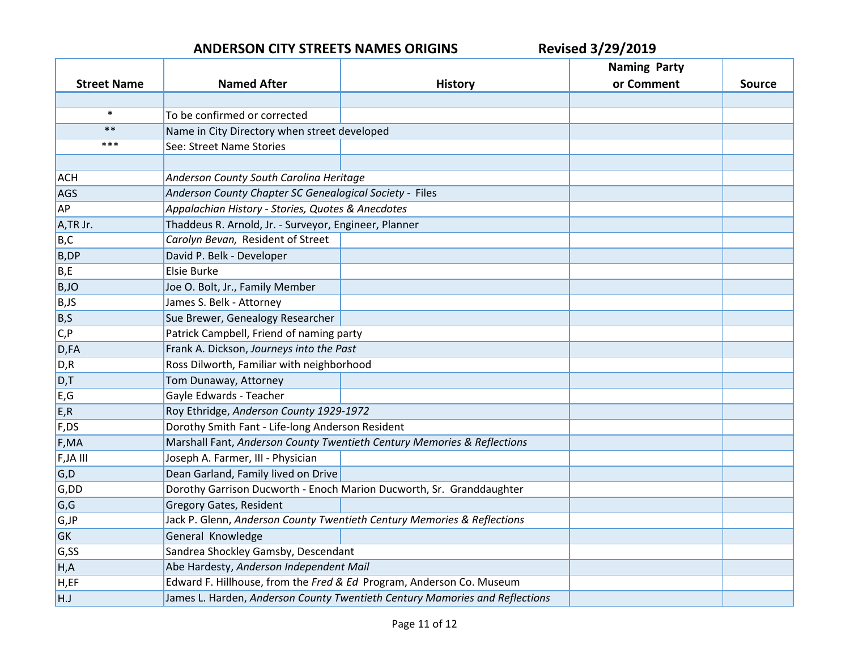|                    |                                                         |                                                                             | <b>Naming Party</b> |               |
|--------------------|---------------------------------------------------------|-----------------------------------------------------------------------------|---------------------|---------------|
| <b>Street Name</b> | <b>Named After</b>                                      | <b>History</b>                                                              | or Comment          | <b>Source</b> |
|                    |                                                         |                                                                             |                     |               |
| $\ast$             | To be confirmed or corrected                            |                                                                             |                     |               |
| $***$              | Name in City Directory when street developed            |                                                                             |                     |               |
| ***                | See: Street Name Stories                                |                                                                             |                     |               |
|                    |                                                         |                                                                             |                     |               |
| <b>ACH</b>         | Anderson County South Carolina Heritage                 |                                                                             |                     |               |
| <b>AGS</b>         | Anderson County Chapter SC Genealogical Society - Files |                                                                             |                     |               |
| AP                 | Appalachian History - Stories, Quotes & Anecdotes       |                                                                             |                     |               |
| A,TR Jr.           | Thaddeus R. Arnold, Jr. - Surveyor, Engineer, Planner   |                                                                             |                     |               |
| B,C                | Carolyn Bevan, Resident of Street                       |                                                                             |                     |               |
| <b>B,DP</b>        | David P. Belk - Developer                               |                                                                             |                     |               |
| B,E                | Elsie Burke                                             |                                                                             |                     |               |
| B,JO               | Joe O. Bolt, Jr., Family Member                         |                                                                             |                     |               |
| B,JS               | James S. Belk - Attorney                                |                                                                             |                     |               |
| B, S               | Sue Brewer, Genealogy Researcher                        |                                                                             |                     |               |
| C, P               | Patrick Campbell, Friend of naming party                |                                                                             |                     |               |
| D,FA               | Frank A. Dickson, Journeys into the Past                |                                                                             |                     |               |
| D, R               | Ross Dilworth, Familiar with neighborhood               |                                                                             |                     |               |
| D,T                | Tom Dunaway, Attorney                                   |                                                                             |                     |               |
| E, G               | Gayle Edwards - Teacher                                 |                                                                             |                     |               |
| E, R               | Roy Ethridge, Anderson County 1929-1972                 |                                                                             |                     |               |
| F,DS               | Dorothy Smith Fant - Life-long Anderson Resident        |                                                                             |                     |               |
| F,MA               |                                                         | Marshall Fant, Anderson County Twentieth Century Memories & Reflections     |                     |               |
| F, JA III          | Joseph A. Farmer, III - Physician                       |                                                                             |                     |               |
| G, D               | Dean Garland, Family lived on Drive                     |                                                                             |                     |               |
| G,DD               |                                                         | Dorothy Garrison Ducworth - Enoch Marion Ducworth, Sr. Granddaughter        |                     |               |
| G, G               | <b>Gregory Gates, Resident</b>                          |                                                                             |                     |               |
| G, JP              |                                                         | Jack P. Glenn, Anderson County Twentieth Century Memories & Reflections     |                     |               |
| GK                 | General Knowledge                                       |                                                                             |                     |               |
| G,SS               | Sandrea Shockley Gamsby, Descendant                     |                                                                             |                     |               |
| H, A               | Abe Hardesty, Anderson Independent Mail                 |                                                                             |                     |               |
| H,EF               |                                                         | Edward F. Hillhouse, from the Fred & Ed Program, Anderson Co. Museum        |                     |               |
| H.J                |                                                         | James L. Harden, Anderson County Twentieth Century Mamories and Reflections |                     |               |